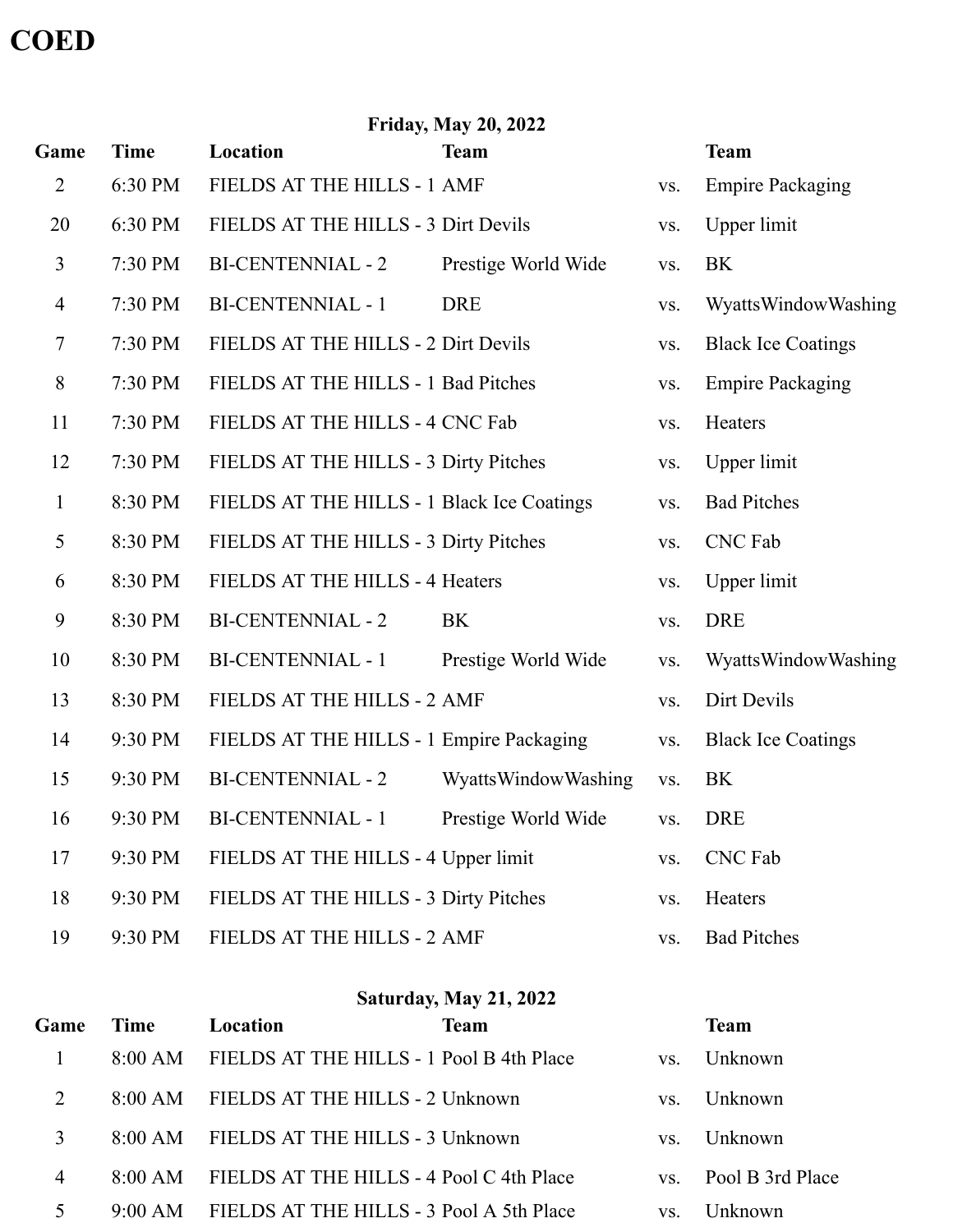## **COED**

| <b>Friday, May 20, 2022</b> |             |                                            |                     |     |                           |  |
|-----------------------------|-------------|--------------------------------------------|---------------------|-----|---------------------------|--|
| Game                        | <b>Time</b> | Location                                   | <b>Team</b>         |     | <b>Team</b>               |  |
| 2                           | 6:30 PM     | FIELDS AT THE HILLS - 1 AMF                |                     | VS. | <b>Empire Packaging</b>   |  |
| 20                          | 6:30 PM     | FIELDS AT THE HILLS - 3 Dirt Devils        |                     | VS. | <b>Upper</b> limit        |  |
| 3                           | 7:30 PM     | <b>BI-CENTENNIAL - 2</b>                   | Prestige World Wide | VS. | <b>BK</b>                 |  |
| $\overline{4}$              | 7:30 PM     | <b>BI-CENTENNIAL - 1</b>                   | <b>DRE</b>          | VS. | WyattsWindowWashing       |  |
| 7                           | 7:30 PM     | FIELDS AT THE HILLS - 2 Dirt Devils        |                     | VS. | <b>Black Ice Coatings</b> |  |
| 8                           | 7:30 PM     | FIELDS AT THE HILLS - 1 Bad Pitches        |                     | VS. | <b>Empire Packaging</b>   |  |
| 11                          | 7:30 PM     | FIELDS AT THE HILLS - 4 CNC Fab            |                     | VS. | Heaters                   |  |
| 12                          | 7:30 PM     | FIELDS AT THE HILLS - 3 Dirty Pitches      |                     | VS. | Upper limit               |  |
| $\mathbf{1}$                | 8:30 PM     | FIELDS AT THE HILLS - 1 Black Ice Coatings |                     | VS. | <b>Bad Pitches</b>        |  |
| 5                           | 8:30 PM     | FIELDS AT THE HILLS - 3 Dirty Pitches      |                     | VS. | <b>CNC</b> Fab            |  |
| 6                           | 8:30 PM     | FIELDS AT THE HILLS - 4 Heaters            |                     | VS. | Upper limit               |  |
| 9                           | 8:30 PM     | <b>BI-CENTENNIAL - 2</b>                   | BK                  | VS. | <b>DRE</b>                |  |
| 10                          | 8:30 PM     | <b>BI-CENTENNIAL - 1</b>                   | Prestige World Wide | VS. | WyattsWindowWashing       |  |
| 13                          | 8:30 PM     | FIELDS AT THE HILLS - 2 AMF                |                     | VS. | Dirt Devils               |  |
| 14                          | 9:30 PM     | FIELDS AT THE HILLS - 1 Empire Packaging   |                     | VS. | <b>Black Ice Coatings</b> |  |
| 15                          | 9:30 PM     | <b>BI-CENTENNIAL - 2</b>                   | WyattsWindowWashing | VS. | <b>BK</b>                 |  |
| 16                          | 9:30 PM     | <b>BI-CENTENNIAL - 1</b>                   | Prestige World Wide | VS. | <b>DRE</b>                |  |
| 17                          | 9:30 PM     | FIELDS AT THE HILLS - 4 Upper limit        |                     | VS. | CNC Fab                   |  |
| 18                          | 9:30 PM     | FIELDS AT THE HILLS - 3 Dirty Pitches      |                     | VS. | Heaters                   |  |
| 19                          | 9:30 PM     | FIELDS AT THE HILLS - 2 AMF                |                     | VS. | <b>Bad Pitches</b>        |  |

| <b>Saturday, May 21, 2022</b> |             |                                          |             |     |                  |
|-------------------------------|-------------|------------------------------------------|-------------|-----|------------------|
| Game                          | <b>Time</b> | Location                                 | <b>Team</b> |     | <b>Team</b>      |
|                               | 8:00 AM     | FIELDS AT THE HILLS - 1 Pool B 4th Place |             | VS. | Unknown          |
| 2                             | $8:00$ AM   | FIELDS AT THE HILLS - 2 Unknown          |             | VS. | Unknown          |
| 3                             | 8:00 AM     | FIELDS AT THE HILLS - 3 Unknown          |             | VS. | Unknown          |
| $\overline{4}$                | 8:00 AM     | FIELDS AT THE HILLS - 4 Pool C 4th Place |             | VS. | Pool B 3rd Place |
|                               | 9:00 AM     | FIELDS AT THE HILLS - 3 Pool A 5th Place |             | VS. | Unknown          |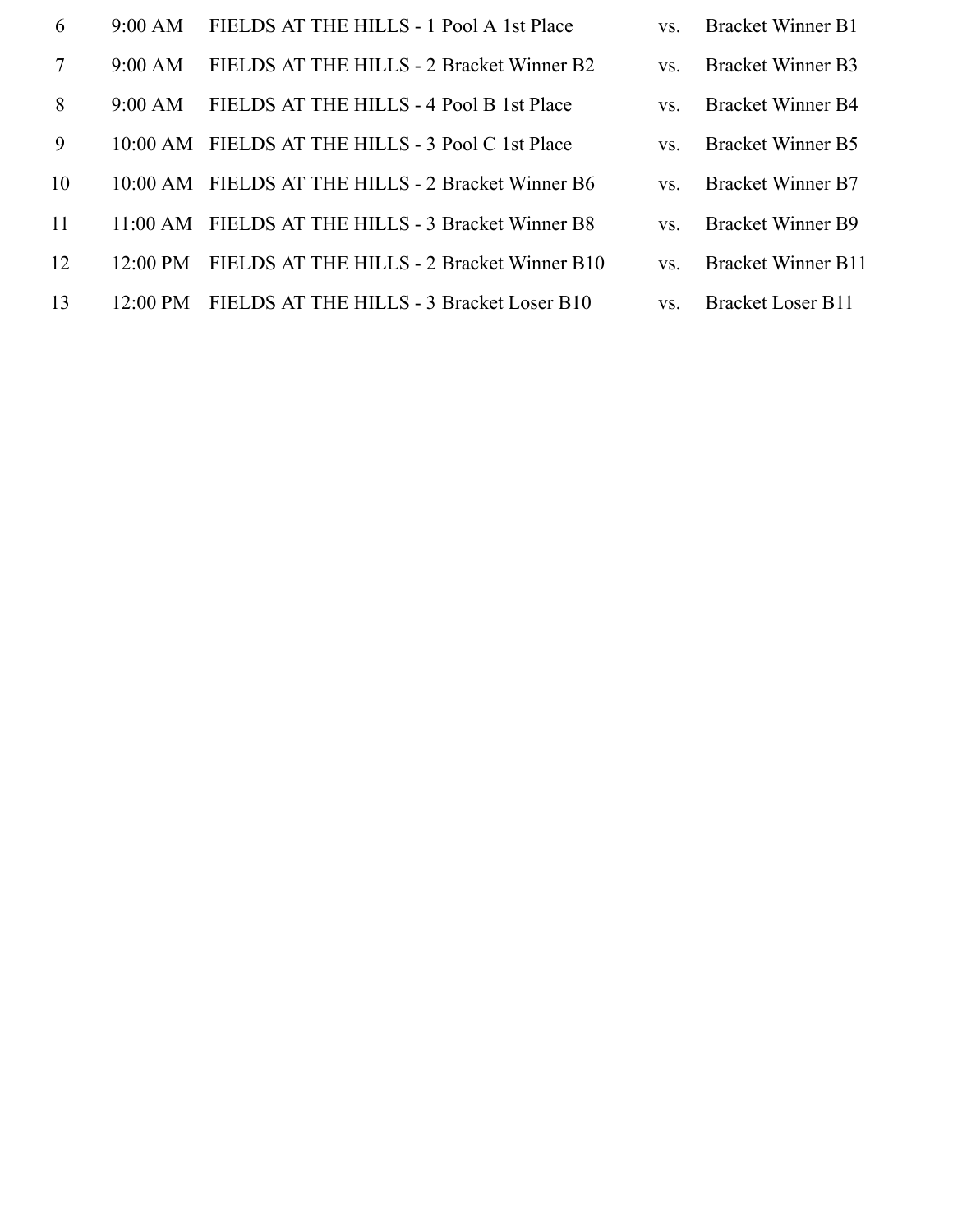| 6  | $9:00 \text{ AM}$  | FIELDS AT THE HILLS - 1 Pool A 1st Place          | VS. | <b>Bracket Winner B1</b>  |
|----|--------------------|---------------------------------------------------|-----|---------------------------|
| 7  | 9:00 AM            | FIELDS AT THE HILLS - 2 Bracket Winner B2         | VS. | <b>Bracket Winner B3</b>  |
| 8  | $9:00 \text{ AM}$  | FIELDS AT THE HILLS - 4 Pool B 1st Place          | VS. | <b>Bracket Winner B4</b>  |
| 9  |                    | 10:00 AM FIELDS AT THE HILLS - 3 Pool C 1st Place | VS. | <b>Bracket Winner B5</b>  |
| 10 | $10:00 \text{ AM}$ | FIELDS AT THE HILLS - 2 Bracket Winner B6         | VS. | <b>Bracket Winner B7</b>  |
| 11 | $11.00 \text{ AM}$ | FIELDS AT THE HILLS - 3 Bracket Winner B8         | VS. | <b>Bracket Winner B9</b>  |
| 12 | $12:00 \text{ PM}$ | FIELDS AT THE HILLS - 2 Bracket Winner B10        | VS. | <b>Bracket Winner B11</b> |
|    |                    |                                                   |     |                           |

- 13 12:00 PM FIELDS AT THE HILLS 3 Bracket Loser B10 vs. Bracket Loser B11
	-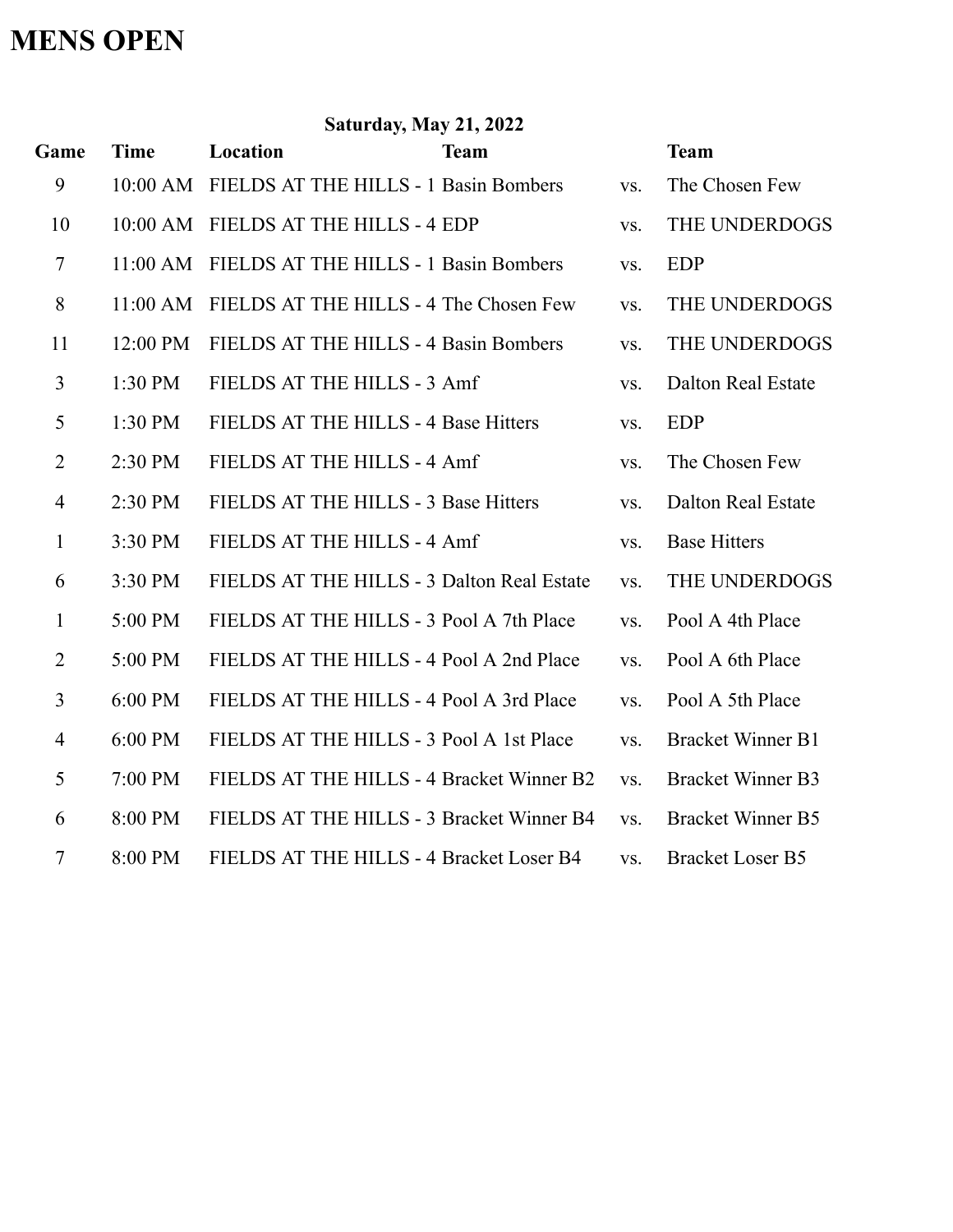## **MENS OPEN**

| <b>Saturday, May 21, 2022</b> |             |                                                |             |     |                           |  |
|-------------------------------|-------------|------------------------------------------------|-------------|-----|---------------------------|--|
| Game                          | <b>Time</b> | Location                                       | <b>Team</b> |     | <b>Team</b>               |  |
| 9                             |             | 10:00 AM FIELDS AT THE HILLS - 1 Basin Bombers |             | VS. | The Chosen Few            |  |
| 10                            |             | 10:00 AM FIELDS AT THE HILLS - 4 EDP           |             | VS. | THE UNDERDOGS             |  |
| $\tau$                        | $11:00$ AM  | FIELDS AT THE HILLS - 1 Basin Bombers          |             | VS. | <b>EDP</b>                |  |
| 8                             | 11:00 AM    | FIELDS AT THE HILLS - 4 The Chosen Few         |             | VS. | THE UNDERDOGS             |  |
| 11                            | 12:00 PM    | FIELDS AT THE HILLS - 4 Basin Bombers          |             | VS. | THE UNDERDOGS             |  |
| 3                             | 1:30 PM     | FIELDS AT THE HILLS - 3 Amf                    |             | VS. | <b>Dalton Real Estate</b> |  |
| 5                             | 1:30 PM     | FIELDS AT THE HILLS - 4 Base Hitters           |             | VS. | <b>EDP</b>                |  |
| $\overline{2}$                | 2:30 PM     | FIELDS AT THE HILLS - 4 Amf                    |             | VS. | The Chosen Few            |  |
| $\overline{4}$                | 2:30 PM     | FIELDS AT THE HILLS - 3 Base Hitters           |             | VS. | <b>Dalton Real Estate</b> |  |
| 1                             | 3:30 PM     | FIELDS AT THE HILLS - 4 Amf                    |             | VS. | <b>Base Hitters</b>       |  |
| 6                             | 3:30 PM     | FIELDS AT THE HILLS - 3 Dalton Real Estate     |             | VS. | THE UNDERDOGS             |  |
| 1                             | 5:00 PM     | FIELDS AT THE HILLS - 3 Pool A 7th Place       |             | VS. | Pool A 4th Place          |  |
| $\overline{2}$                | 5:00 PM     | FIELDS AT THE HILLS - 4 Pool A 2nd Place       |             | VS. | Pool A 6th Place          |  |
| 3                             | 6:00 PM     | FIELDS AT THE HILLS - 4 Pool A 3rd Place       |             | VS. | Pool A 5th Place          |  |
| $\overline{4}$                | 6:00 PM     | FIELDS AT THE HILLS - 3 Pool A 1st Place       |             | VS. | <b>Bracket Winner B1</b>  |  |
| 5                             | 7:00 PM     | FIELDS AT THE HILLS - 4 Bracket Winner B2      |             | VS. | <b>Bracket Winner B3</b>  |  |
| 6                             | 8:00 PM     | FIELDS AT THE HILLS - 3 Bracket Winner B4      |             | VS. | <b>Bracket Winner B5</b>  |  |
| $\overline{7}$                | 8:00 PM     | FIELDS AT THE HILLS - 4 Bracket Loser B4       |             | VS. | <b>Bracket Loser B5</b>   |  |